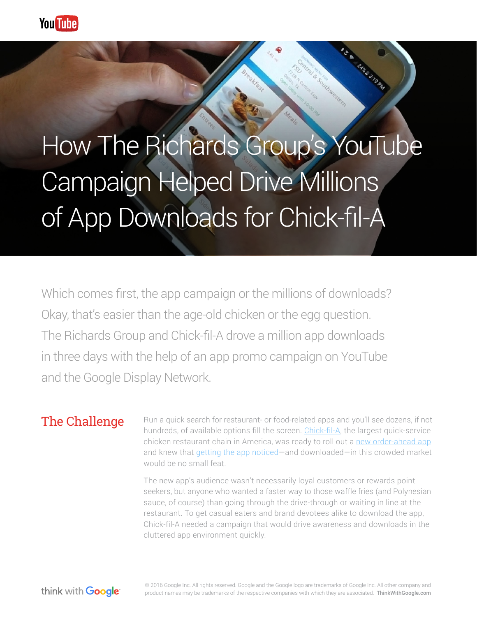# How The Richards Group's YouTube Campaign Helped Drive Millions of App Downloads for Chick-fil-A

Which comes first, the app campaign or the millions of downloads? Okay, that's easier than the age-old chicken or the egg question. The Richards Group and Chick-fil-A drove a million app downloads in three days with the help of an app promo campaign on YouTube and the Google Display Network.

## The Challenge

Run a quick search for restaurant- or food-related apps and you'll see dozens, if not hundreds, of available options fill the screen. [Chick-fil-A,](http://www.chick-fil-a.com/) the largest quick-service chicken restaurant chain in America, was ready to roll out a [new order-ahead app](https://one.chick-fil-a.com/) and knew that [getting the app noticed—](https://www.thinkwithgoogle.com/articles/mobile-app-marketing-insights.html)and downloaded—in this crowded market would be no small feat.

The new app's audience wasn't necessarily loyal customers or rewards point seekers, but anyone who wanted a faster way to those waffle fries (and Polynesian sauce, of course) than going through the drive-through or waiting in line at the restaurant. To get casual eaters and brand devotees alike to download the app, Chick-fil-A needed a campaign that would drive awareness and downloads in the cluttered app environment quickly.



© 2016 Google Inc. All rights reserved. Google and the Google logo are trademarks of Google Inc. All other company and product names may be trademarks of the respective companies with which they are associated. ThinkWithGoogle.com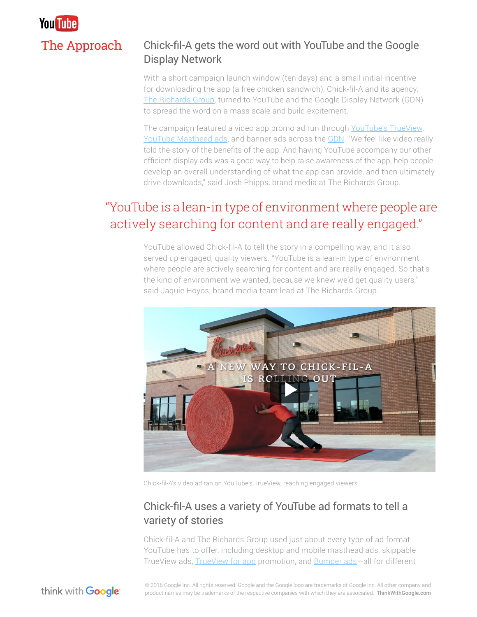

### Chick-fil-A gets the word out with YouTube and the Google Display Network

With a short campaign launch window (ten days) and a small initial incentive for downloading the app (a free chicken sandwich), Chick-fil-A and its agency, [The Richards Group](https://richards.com/), turned to YouTube and the Google Display Network (GDN) to spread the word on a mass scale and build excitement.

The campaign featured a video app promo ad run through [YouTube's TrueView](https://www.thinkwithgoogle.com/products/youtube-trueview.html), [YouTube Masthead ads](https://www.thinkwithgoogle.com/products/youtube-homepage-ads.html), and banner ads across the [GDN](https://www.google.com/ads/displaynetwork/). "We feel like video really told the story of the benefits of the app. And having YouTube accompany our other efficient display ads was a good way to help raise awareness of the app, help people develop an overall understanding of what the app can provide, and then ultimately drive downloads," said Josh Phipps, brand media at The Richards Group.

# "YouTube is a lean-in type of environment where people are actively searching for content and are really engaged."

YouTube allowed Chick-fil-A to tell the story in a compelling way, and it also served up engaged, quality viewers. "YouTube is a lean-in type of environment where people are actively searching for content and are really engaged. So that's the kind of environment we wanted, because we knew we'd get quality users," said Jaquie Hoyos, brand media team lead at The Richards Group.



Chick-fil-A's video ad ran on YouTube's TrueView, reaching engaged viewers.

#### Chick-fil-A uses a variety of YouTube ad formats to tell a variety of stories

Chick-fil-A and The Richards Group used just about every type of ad format YouTube has to offer, including desktop and mobile masthead ads, skippable TrueView ads, [TrueView for app](https://support.google.com/adwords/answer/6310477?hl=en) promotion, and **[Bumper ads](https://adwords.googleblog.com/2016/04/bumper-ads-drive-incremental-reach-and-frequency.html)** – all for different



© 2016 Google Inc. All rights reserved. Google and the Google logo are trademarks of Google Inc. All other company and product names may be trademarks of the respective companies with which they are associated. ThinkWithGoogle.com